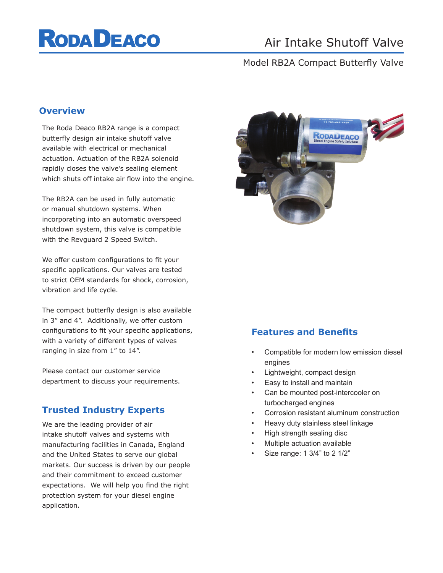# **RODA DEACO**

## Air Intake Shutoff Valve

#### Model RB2A Compact Butterfly Valve

#### **Overview**

The Roda Deaco RB2A range is a compact butterfly design air intake shutoff valve available with electrical or mechanical actuation. Actuation of the RB2A solenoid rapidly closes the valve's sealing element which shuts off intake air flow into the engine.

The RB2A can be used in fully automatic or manual shutdown systems. When incorporating into an automatic overspeed shutdown system, this valve is compatible with the Revguard 2 Speed Switch.

We offer custom configurations to fit your specific applications. Our valves are tested to strict OEM standards for shock, corrosion, vibration and life cycle.

The compact butterfly design is also available in 3" and 4". Additionally, we offer custom configurations to fit your specific applications, with a variety of different types of valves ranging in size from 1" to 14".

Please contact our customer service department to discuss your requirements.

#### **Trusted Industry Experts**

We are the leading provider of air intake shutoff valves and systems with manufacturing facilities in Canada, England and the United States to serve our global markets. Our success is driven by our people and their commitment to exceed customer expectations. We will help you find the right protection system for your diesel engine application.



#### **Features and Benefits**

- Compatible for modern low emission diesel engines
- Lightweight, compact design
- Easy to install and maintain
- Can be mounted post-intercooler on turbocharged engines
- Corrosion resistant aluminum construction
- Heavy duty stainless steel linkage
- High strength sealing disc
- Multiple actuation available
- Size range: 1 3/4" to 2 1/2"